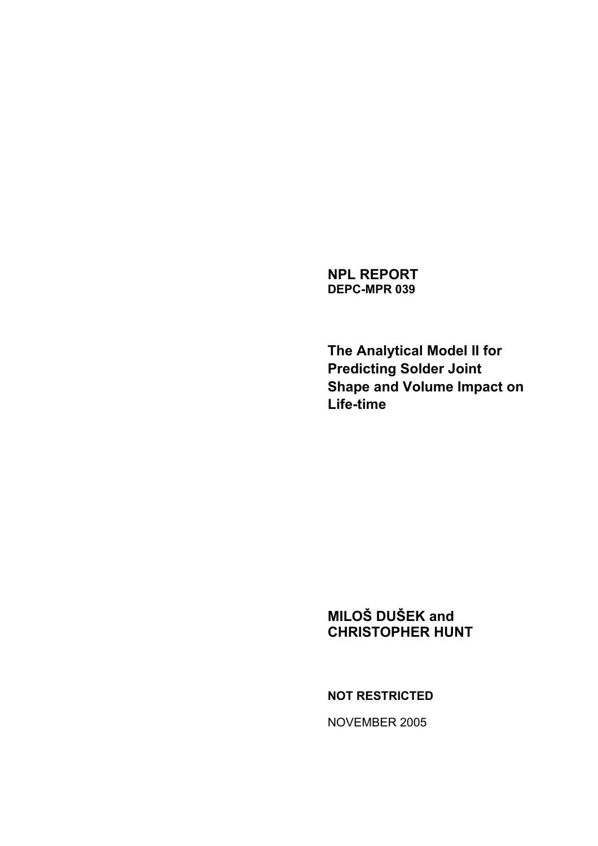**NPL REPORT DEPC-MPR 039** 

**The Analytical Model II for Predicting Solder Joint Shape and Volume Impact on Life-time** 

# **MILOŠ DUŠEK and CHRISTOPHER HUNT**

**NOT RESTRICTED** 

NOVEMBER 2005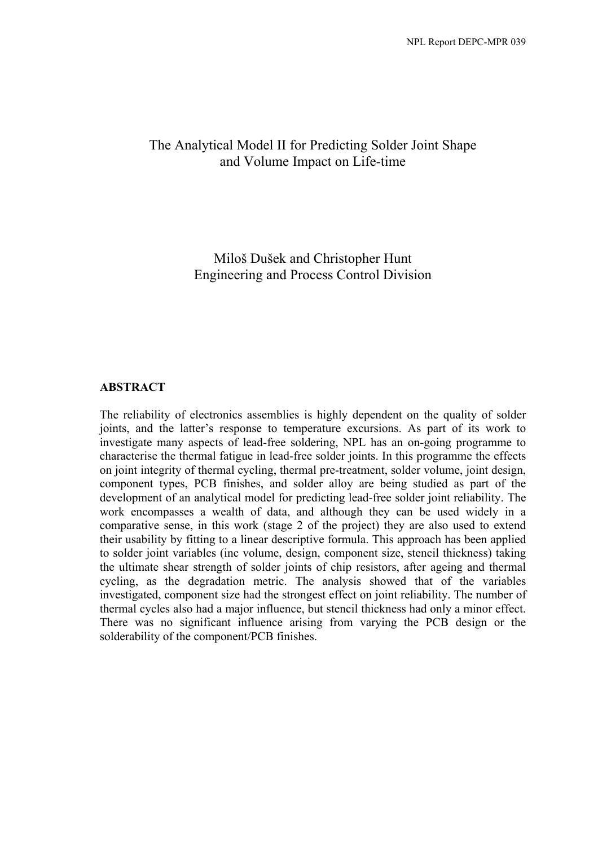# The Analytical Model II for Predicting Solder Joint Shape and Volume Impact on Life-time

Miloš Dušek and Christopher Hunt Engineering and Process Control Division

#### **ABSTRACT**

The reliability of electronics assemblies is highly dependent on the quality of solder joints, and the latter's response to temperature excursions. As part of its work to investigate many aspects of lead-free soldering, NPL has an on-going programme to characterise the thermal fatigue in lead-free solder joints. In this programme the effects on joint integrity of thermal cycling, thermal pre-treatment, solder volume, joint design, component types, PCB finishes, and solder alloy are being studied as part of the development of an analytical model for predicting lead-free solder joint reliability. The work encompasses a wealth of data, and although they can be used widely in a comparative sense, in this work (stage 2 of the project) they are also used to extend their usability by fitting to a linear descriptive formula. This approach has been applied to solder joint variables (inc volume, design, component size, stencil thickness) taking the ultimate shear strength of solder joints of chip resistors, after ageing and thermal cycling, as the degradation metric. The analysis showed that of the variables investigated, component size had the strongest effect on joint reliability. The number of thermal cycles also had a major influence, but stencil thickness had only a minor effect. There was no significant influence arising from varying the PCB design or the solderability of the component/PCB finishes.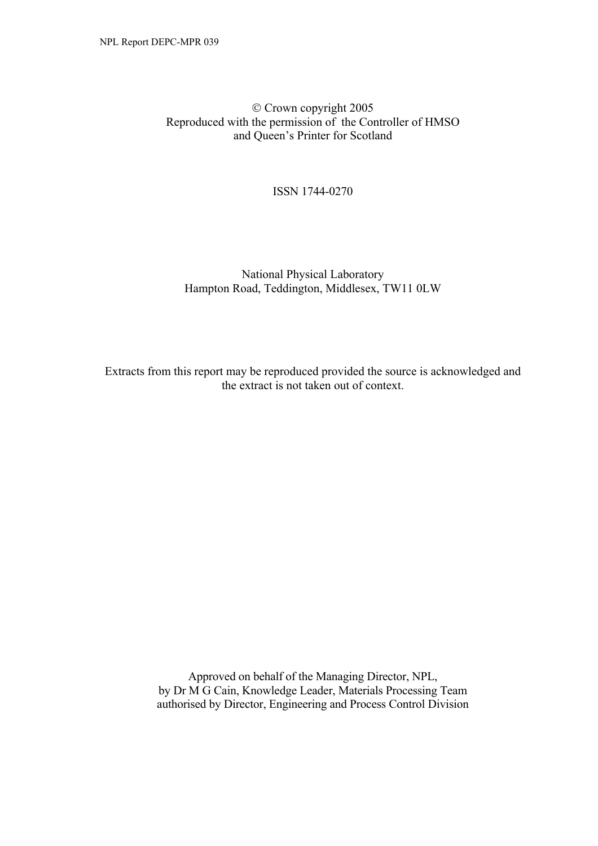Crown copyright 2005 Reproduced with the permission of the Controller of HMSO and Queen's Printer for Scotland

ISSN 1744-0270

### National Physical Laboratory Hampton Road, Teddington, Middlesex, TW11 0LW

Extracts from this report may be reproduced provided the source is acknowledged and the extract is not taken out of context.

> Approved on behalf of the Managing Director, NPL, by Dr M G Cain, Knowledge Leader, Materials Processing Team authorised by Director, Engineering and Process Control Division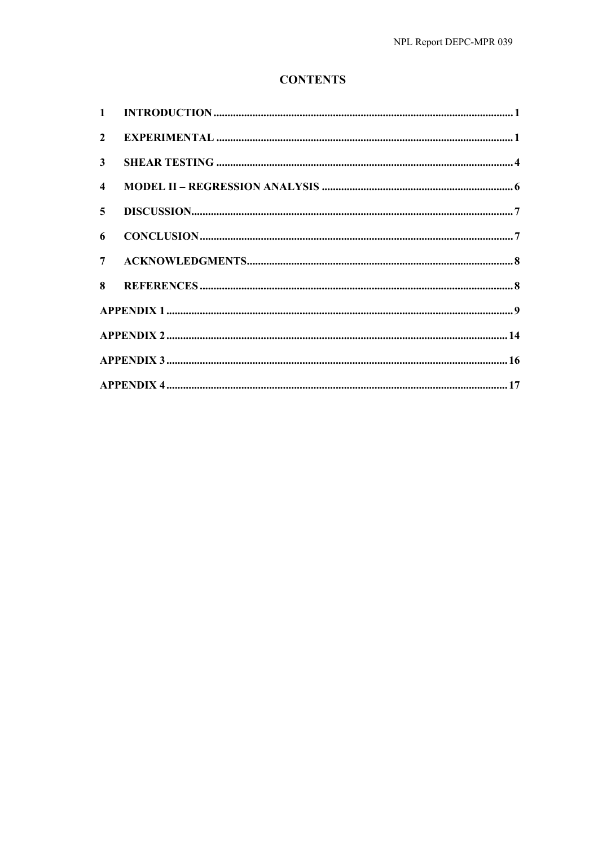# **CONTENTS**

| $2^{\circ}$    |  |
|----------------|--|
| 3 <sup>1</sup> |  |
| $\overline{4}$ |  |
| 5 <sup>5</sup> |  |
| 6              |  |
| 7 <sup>7</sup> |  |
|                |  |
|                |  |
|                |  |
|                |  |
|                |  |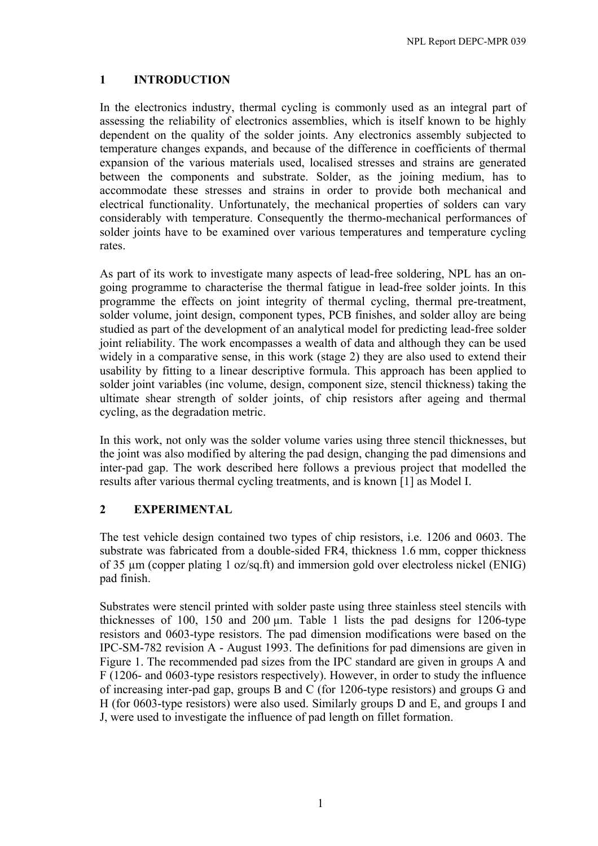# **1 INTRODUCTION**

In the electronics industry, thermal cycling is commonly used as an integral part of assessing the reliability of electronics assemblies, which is itself known to be highly dependent on the quality of the solder joints. Any electronics assembly subjected to temperature changes expands, and because of the difference in coefficients of thermal expansion of the various materials used, localised stresses and strains are generated between the components and substrate. Solder, as the joining medium, has to accommodate these stresses and strains in order to provide both mechanical and electrical functionality. Unfortunately, the mechanical properties of solders can vary considerably with temperature. Consequently the thermo-mechanical performances of solder joints have to be examined over various temperatures and temperature cycling rates.

As part of its work to investigate many aspects of lead-free soldering, NPL has an ongoing programme to characterise the thermal fatigue in lead-free solder joints. In this programme the effects on joint integrity of thermal cycling, thermal pre-treatment, solder volume, joint design, component types, PCB finishes, and solder alloy are being studied as part of the development of an analytical model for predicting lead-free solder joint reliability. The work encompasses a wealth of data and although they can be used widely in a comparative sense, in this work (stage 2) they are also used to extend their usability by fitting to a linear descriptive formula. This approach has been applied to solder joint variables (inc volume, design, component size, stencil thickness) taking the ultimate shear strength of solder joints, of chip resistors after ageing and thermal cycling, as the degradation metric.

In this work, not only was the solder volume varies using three stencil thicknesses, but the joint was also modified by altering the pad design, changing the pad dimensions and inter-pad gap. The work described here follows a previous project that modelled the results after various thermal cycling treatments, and is known [1] as Model I.

# **2 EXPERIMENTAL**

The test vehicle design contained two types of chip resistors, i.e. 1206 and 0603. The substrate was fabricated from a double-sided FR4, thickness 1.6 mm, copper thickness of 35 µm (copper plating 1 oz/sq.ft) and immersion gold over electroless nickel (ENIG) pad finish.

Substrates were stencil printed with solder paste using three stainless steel stencils with thicknesses of 100, 150 and 200  $\mu$ m. Table 1 lists the pad designs for 1206-type resistors and 0603-type resistors. The pad dimension modifications were based on the IPC-SM-782 revision A - August 1993. The definitions for pad dimensions are given in Figure 1. The recommended pad sizes from the IPC standard are given in groups A and F (1206- and 0603-type resistors respectively). However, in order to study the influence of increasing inter-pad gap, groups B and C (for 1206-type resistors) and groups G and H (for 0603-type resistors) were also used. Similarly groups D and E, and groups I and J, were used to investigate the influence of pad length on fillet formation.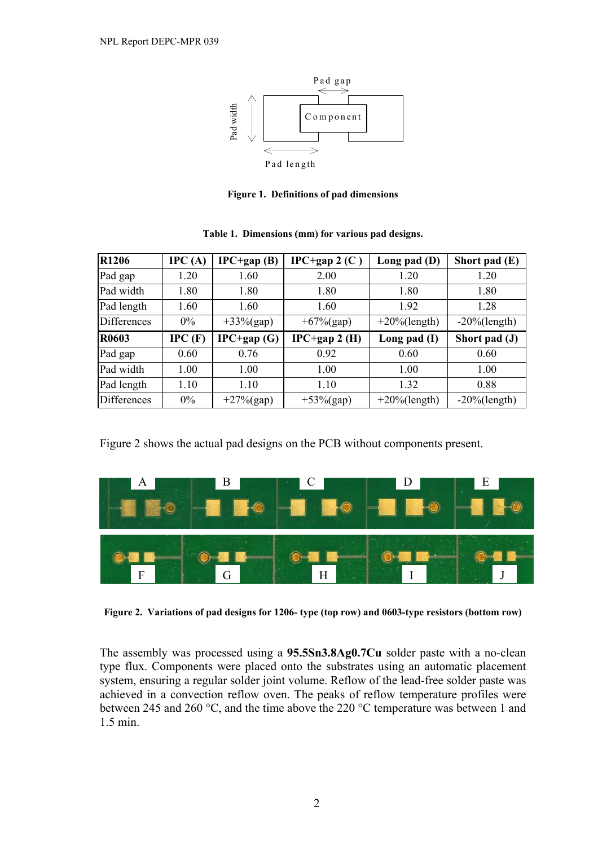

**Figure 1. Definitions of pad dimensions** 

| <b>R1206</b> | IPC(A) | $IPC+gap(B)$  | IPC+gap $2(C)$  | Long pad $(D)$   | Short pad $(E)$  |
|--------------|--------|---------------|-----------------|------------------|------------------|
| Pad gap      | 1.20   | 1.60          | 2.00            | 1.20             | 1.20             |
| Pad width    | 1.80   | 1.80          | 1.80            | 1.80             | 1.80             |
| Pad length   | 1.60   | 1.60          | 1.60            | 1.92             | 1.28             |
| Differences  | 0%     | $+33\%$ (gap) | $+67\%$ (gap)   | $+20\%$ (length) | $-20\%$ (length) |
|              |        |               |                 |                  |                  |
| R0603        | IPC(F) | $IPC+gap(G)$  | $IPC+gap 2 (H)$ | Long pad $(I)$   | Short pad (J)    |
| Pad gap      | 0.60   | 0.76          | 0.92            | 0.60             | 0.60             |
| Pad width    | 1.00   | 1.00          | 1.00            | 1.00             | 1.00             |
| Pad length   | 1.10   | 1.10          | 1.10            | 1.32             | 0.88             |

**Table 1. Dimensions (mm) for various pad designs.** 

Figure 2 shows the actual pad designs on the PCB without components present.



**Figure 2. Variations of pad designs for 1206- type (top row) and 0603-type resistors (bottom row)** 

The assembly was processed using a **95.5Sn3.8Ag0.7Cu** solder paste with a no-clean type flux. Components were placed onto the substrates using an automatic placement system, ensuring a regular solder joint volume. Reflow of the lead-free solder paste was achieved in a convection reflow oven. The peaks of reflow temperature profiles were between 245 and 260 °C, and the time above the 220 °C temperature was between 1 and 1.5 min.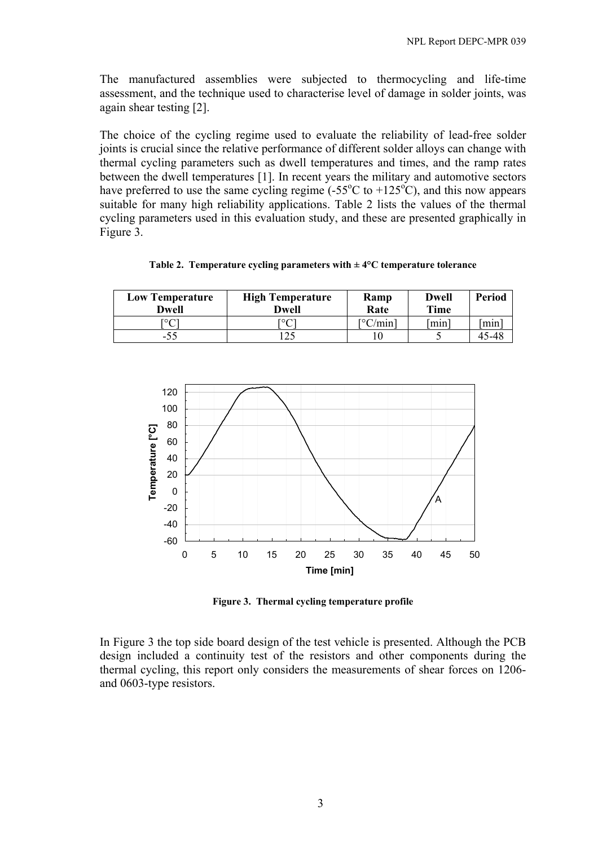The manufactured assemblies were subjected to thermocycling and life-time assessment, and the technique used to characterise level of damage in solder joints, was again shear testing [2].

The choice of the cycling regime used to evaluate the reliability of lead-free solder joints is crucial since the relative performance of different solder alloys can change with thermal cycling parameters such as dwell temperatures and times, and the ramp rates between the dwell temperatures [1]. In recent years the military and automotive sectors have preferred to use the same cycling regime  $(-55^{\circ}C \text{ to } +125^{\circ}C)$ , and this now appears suitable for many high reliability applications. Table 2 lists the values of the thermal cycling parameters used in this evaluation study, and these are presented graphically in Figure 3.

|  |  |  | Table 2. Temperature cycling parameters with $\pm$ 4°C temperature tolerance |
|--|--|--|------------------------------------------------------------------------------|
|--|--|--|------------------------------------------------------------------------------|

| <b>Low Temperature</b><br>Dwell | <b>High Temperature</b><br>Dwell | Ramp<br>Rate     | <b>Dwell</b><br>Time | Period |
|---------------------------------|----------------------------------|------------------|----------------------|--------|
| г∘∩                             | гог                              | $\lceil$ °C/min] | [min]                | min    |
| -55                             | ົາເ                              |                  |                      | 45-48  |



**Figure 3. Thermal cycling temperature profile** 

In Figure 3 the top side board design of the test vehicle is presented. Although the PCB design included a continuity test of the resistors and other components during the thermal cycling, this report only considers the measurements of shear forces on 1206 and 0603-type resistors.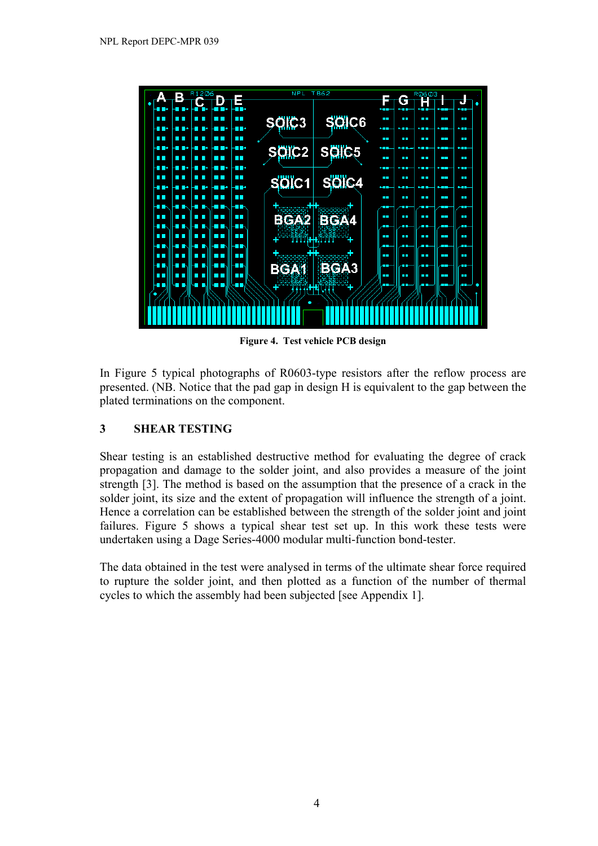

**Figure 4. Test vehicle PCB design** 

In Figure 5 typical photographs of R0603-type resistors after the reflow process are presented. (NB. Notice that the pad gap in design H is equivalent to the gap between the plated terminations on the component.

## **3 SHEAR TESTING**

Shear testing is an established destructive method for evaluating the degree of crack propagation and damage to the solder joint, and also provides a measure of the joint strength [3]. The method is based on the assumption that the presence of a crack in the solder joint, its size and the extent of propagation will influence the strength of a joint. Hence a correlation can be established between the strength of the solder joint and joint failures. Figure 5 shows a typical shear test set up. In this work these tests were undertaken using a Dage Series-4000 modular multi-function bond-tester.

The data obtained in the test were analysed in terms of the ultimate shear force required to rupture the solder joint, and then plotted as a function of the number of thermal cycles to which the assembly had been subjected [see Appendix 1].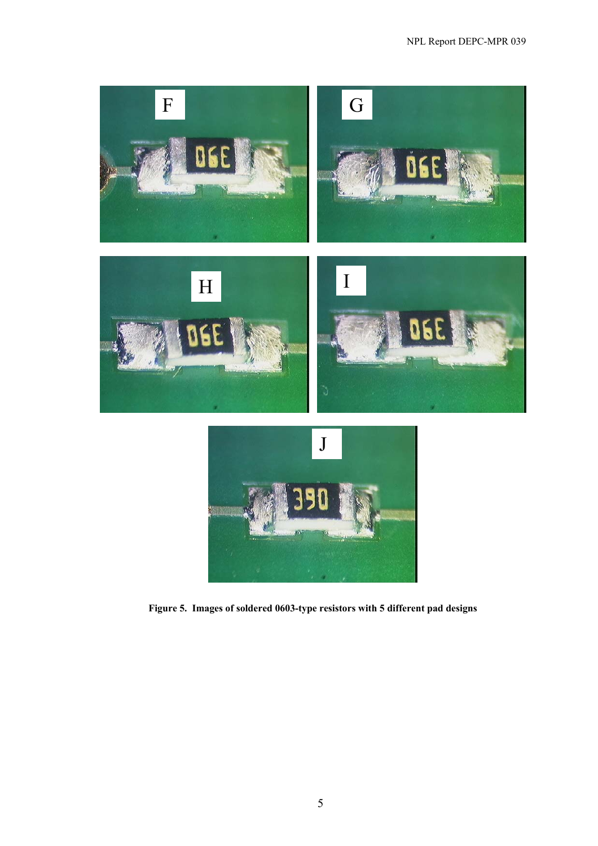![](_page_10_Picture_1.jpeg)

**Figure 5. Images of soldered 0603-type resistors with 5 different pad designs**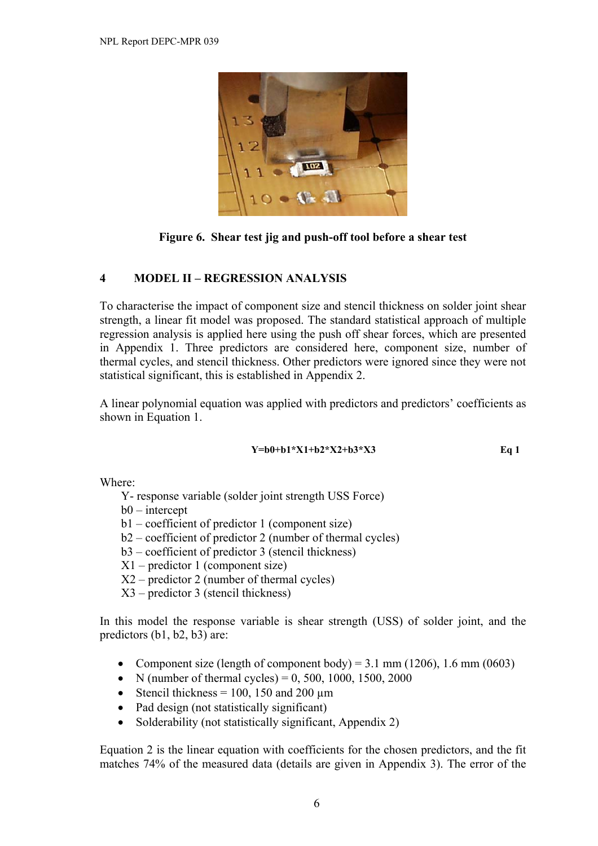![](_page_11_Picture_1.jpeg)

**Figure 6. Shear test jig and push-off tool before a shear test** 

### **4 MODEL II – REGRESSION ANALYSIS**

To characterise the impact of component size and stencil thickness on solder joint shear strength, a linear fit model was proposed. The standard statistical approach of multiple regression analysis is applied here using the push off shear forces, which are presented in Appendix 1. Three predictors are considered here, component size, number of thermal cycles, and stencil thickness. Other predictors were ignored since they were not statistical significant, this is established in Appendix 2.

A linear polynomial equation was applied with predictors and predictors' coefficients as shown in Equation 1.

#### **Y=b0+b1\*X1+b2\*X2+b3\*X3 Eq 1**

Where:

- Y- response variable (solder joint strength USS Force)
- b0 intercept
- b1 coefficient of predictor 1 (component size)
- b2 coefficient of predictor 2 (number of thermal cycles)
- b3 coefficient of predictor 3 (stencil thickness)
- X1 predictor 1 (component size)
- X2 predictor 2 (number of thermal cycles)
- X3 predictor 3 (stencil thickness)

In this model the response variable is shear strength (USS) of solder joint, and the predictors (b1, b2, b3) are:

- Component size (length of component body) =  $3.1 \text{ mm}$  (1206), 1.6 mm (0603)
- N (number of thermal cycles) =  $0.500, 1000, 1500, 2000$
- Stencil thickness = 100, 150 and 200  $\mu$ m
- Pad design (not statistically significant)
- Solderability (not statistically significant, Appendix 2)

Equation 2 is the linear equation with coefficients for the chosen predictors, and the fit matches 74% of the measured data (details are given in Appendix 3). The error of the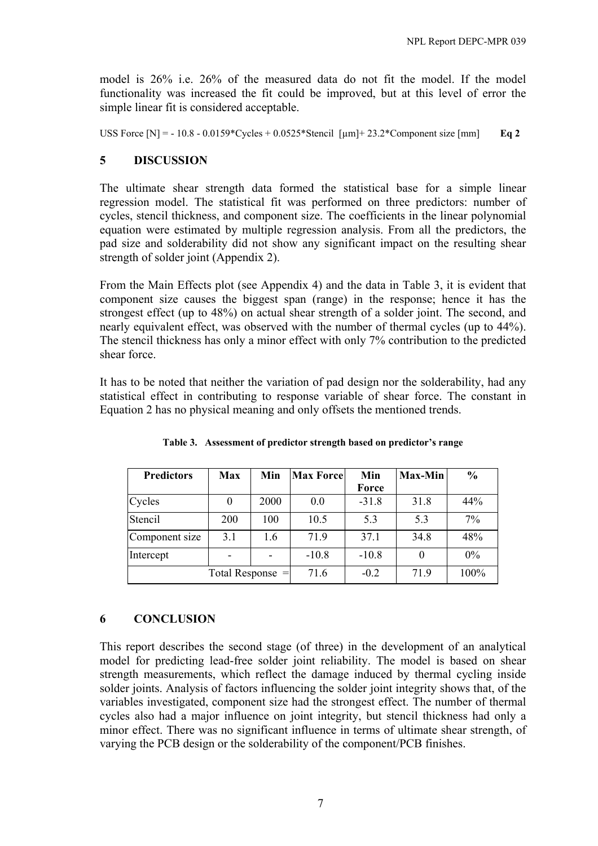model is 26% i.e. 26% of the measured data do not fit the model. If the model functionality was increased the fit could be improved, but at this level of error the simple linear fit is considered acceptable.

USS Force  $[N] = -10.8 - 0.0159 \cdot \text{Cycles} + 0.0525 \cdot \text{Stencil}$  [ $\mu m$ ] + 23.2 \* Component size [mm] **Eq 2** 

### **5 DISCUSSION**

The ultimate shear strength data formed the statistical base for a simple linear regression model. The statistical fit was performed on three predictors: number of cycles, stencil thickness, and component size. The coefficients in the linear polynomial equation were estimated by multiple regression analysis. From all the predictors, the pad size and solderability did not show any significant impact on the resulting shear strength of solder joint (Appendix 2).

From the Main Effects plot (see Appendix 4) and the data in Table 3, it is evident that component size causes the biggest span (range) in the response; hence it has the strongest effect (up to 48%) on actual shear strength of a solder joint. The second, and nearly equivalent effect, was observed with the number of thermal cycles (up to 44%). The stencil thickness has only a minor effect with only 7% contribution to the predicted shear force.

It has to be noted that neither the variation of pad design nor the solderability, had any statistical effect in contributing to response variable of shear force. The constant in Equation 2 has no physical meaning and only offsets the mentioned trends.

| <b>Predictors</b> | <b>Max</b>         | Min  | <b>Max Force</b> | Min     | <b>Max-Min</b> | $\frac{0}{0}$ |
|-------------------|--------------------|------|------------------|---------|----------------|---------------|
|                   |                    |      |                  | Force   |                |               |
| Cycles            | 0                  | 2000 | 0.0              | $-31.8$ | 31.8           | 44%           |
| Stencil           | <b>200</b>         | 100  | 10.5             | 5.3     | 5.3            | 7%            |
| Component size    | 3.1                | 1.6  | 719              | 37.1    | 34.8           | 48%           |
| Intercept         |                    |      | $-10.8$          | $-10.8$ |                | $0\%$         |
|                   | Total Response $=$ | 71.6 | $-0.2$           | 71.9    | 100%           |               |

**Table 3. Assessment of predictor strength based on predictor's range** 

# **6 CONCLUSION**

This report describes the second stage (of three) in the development of an analytical model for predicting lead-free solder joint reliability. The model is based on shear strength measurements, which reflect the damage induced by thermal cycling inside solder joints. Analysis of factors influencing the solder joint integrity shows that, of the variables investigated, component size had the strongest effect. The number of thermal cycles also had a major influence on joint integrity, but stencil thickness had only a minor effect. There was no significant influence in terms of ultimate shear strength, of varying the PCB design or the solderability of the component/PCB finishes.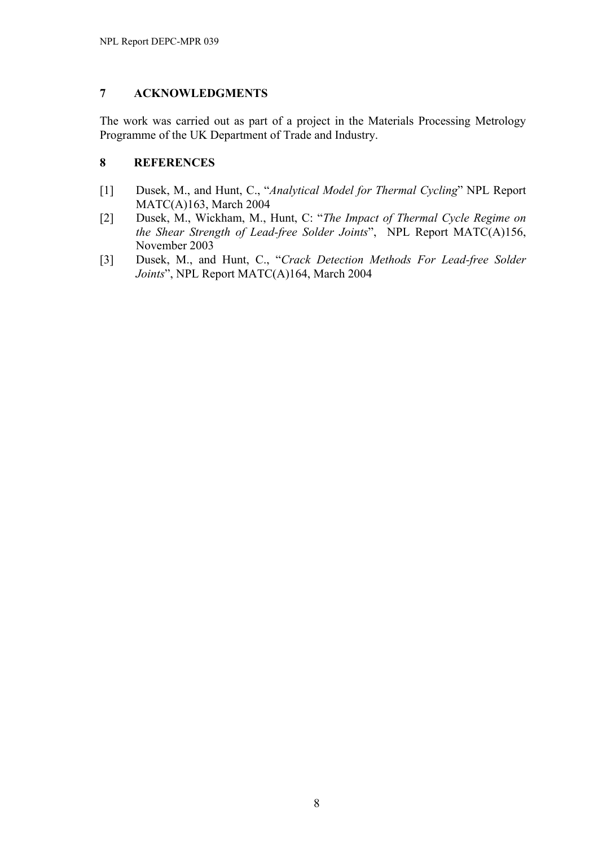### **7 ACKNOWLEDGMENTS**

The work was carried out as part of a project in the Materials Processing Metrology Programme of the UK Department of Trade and Industry.

### **8 REFERENCES**

- [1] Dusek, M., and Hunt, C., "*Analytical Model for Thermal Cycling*" NPL Report MATC(A)163, March 2004
- [2] Dusek, M., Wickham, M., Hunt, C: "*The Impact of Thermal Cycle Regime on the Shear Strength of Lead-free Solder Joints*", NPL Report MATC(A)156, November 2003
- [3] Dusek, M., and Hunt, C., "*Crack Detection Methods For Lead-free Solder Joints*", NPL Report MATC(A)164, March 2004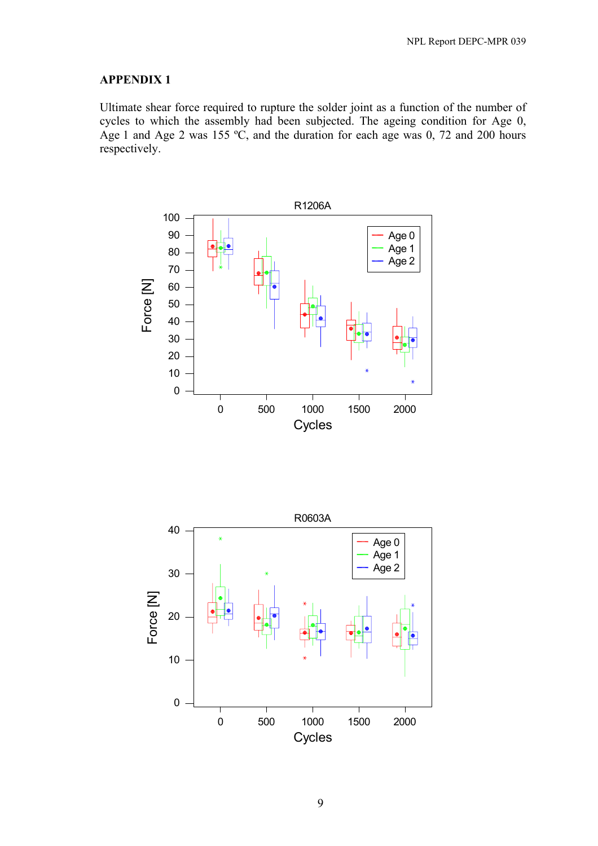Ultimate shear force required to rupture the solder joint as a function of the number of cycles to which the assembly had been subjected. The ageing condition for Age 0, Age 1 and Age 2 was 155  $\degree$ C, and the duration for each age was 0, 72 and 200 hours respectively.

![](_page_14_Figure_3.jpeg)

![](_page_14_Figure_4.jpeg)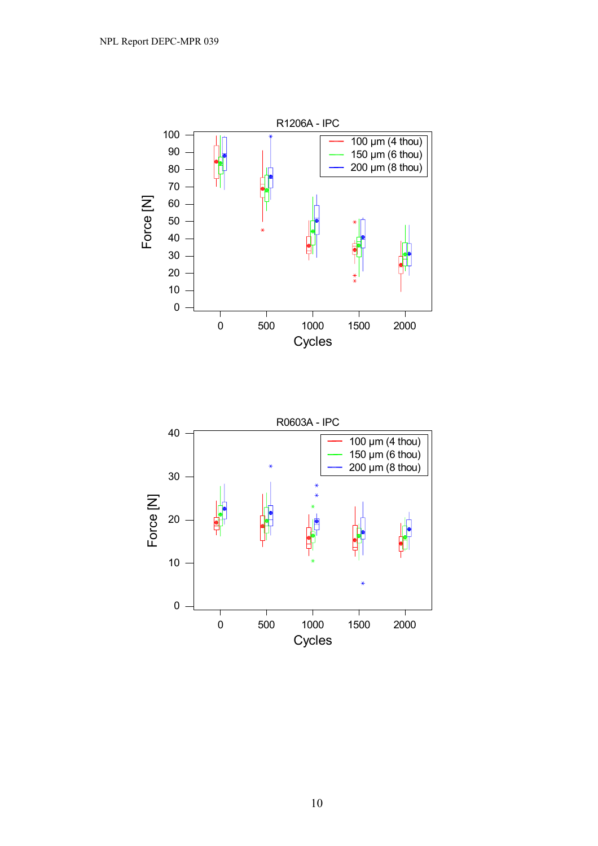![](_page_15_Figure_1.jpeg)

![](_page_15_Figure_2.jpeg)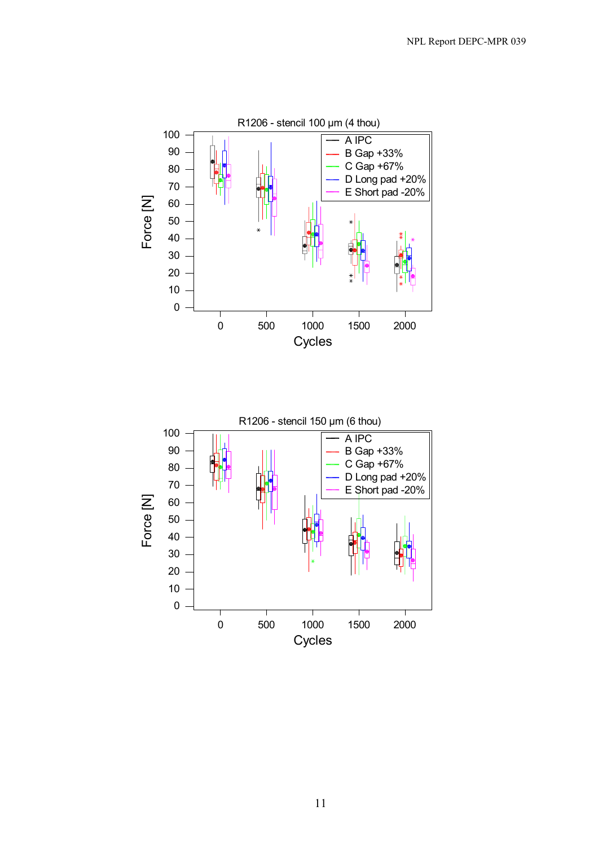![](_page_16_Figure_1.jpeg)

![](_page_16_Figure_2.jpeg)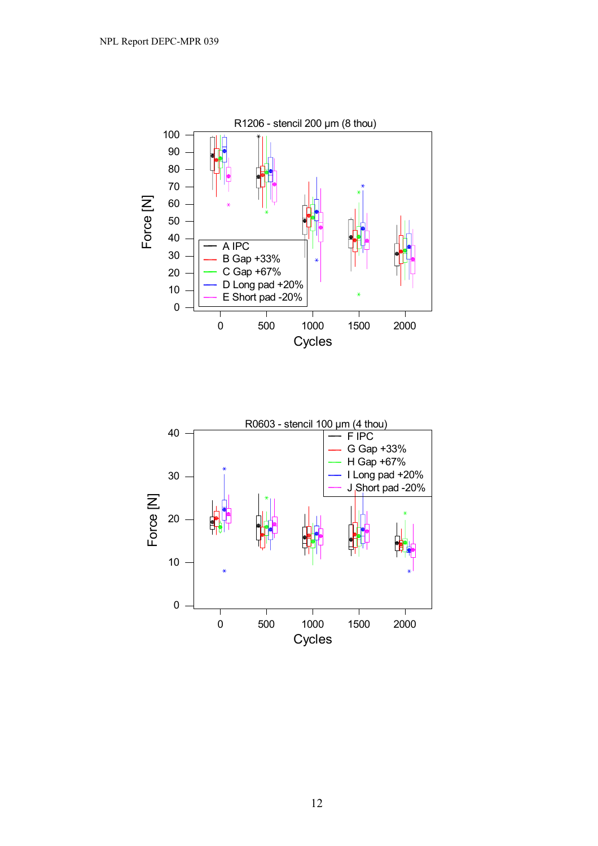![](_page_17_Figure_1.jpeg)

![](_page_17_Figure_2.jpeg)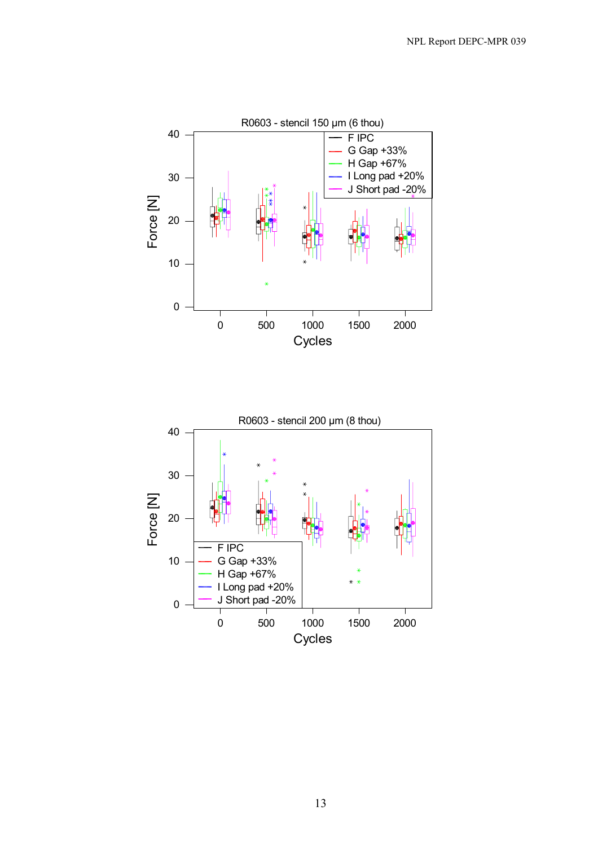![](_page_18_Figure_1.jpeg)

![](_page_18_Figure_2.jpeg)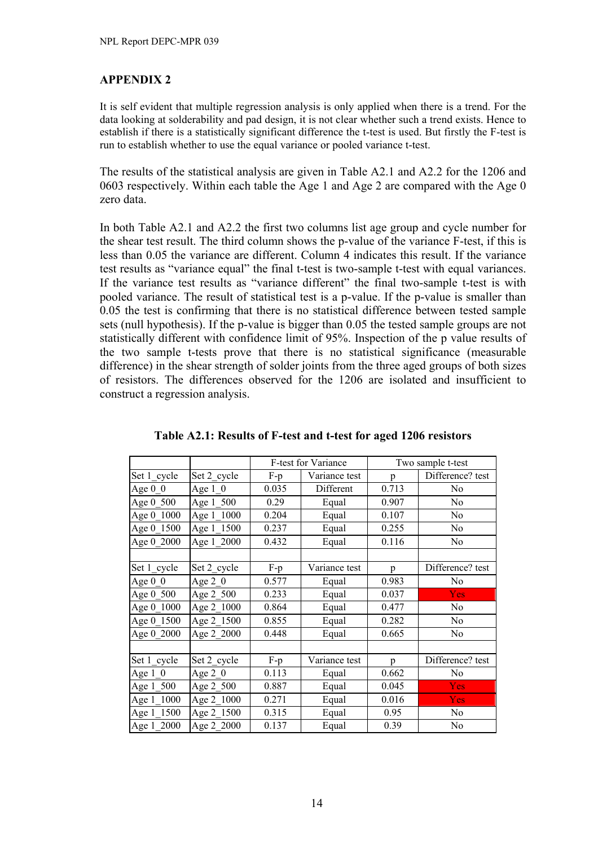It is self evident that multiple regression analysis is only applied when there is a trend. For the data looking at solderability and pad design, it is not clear whether such a trend exists. Hence to establish if there is a statistically significant difference the t-test is used. But firstly the F-test is run to establish whether to use the equal variance or pooled variance t-test.

The results of the statistical analysis are given in Table A2.1 and A2.2 for the 1206 and 0603 respectively. Within each table the Age 1 and Age 2 are compared with the Age 0 zero data.

In both Table A2.1 and A2.2 the first two columns list age group and cycle number for the shear test result. The third column shows the p-value of the variance F-test, if this is less than 0.05 the variance are different. Column 4 indicates this result. If the variance test results as "variance equal" the final t-test is two-sample t-test with equal variances. If the variance test results as "variance different" the final two-sample t-test is with pooled variance. The result of statistical test is a p-value. If the p-value is smaller than 0.05 the test is confirming that there is no statistical difference between tested sample sets (null hypothesis). If the p-value is bigger than 0.05 the tested sample groups are not statistically different with confidence limit of 95%. Inspection of the p value results of the two sample t-tests prove that there is no statistical significance (measurable difference) in the shear strength of solder joints from the three aged groups of both sizes of resistors. The differences observed for the 1206 are isolated and insufficient to construct a regression analysis.

|             |             |       | F-test for Variance | Two sample t-test |                  |
|-------------|-------------|-------|---------------------|-------------------|------------------|
| Set 1 cycle | Set 2_cycle | $F-p$ | Variance test       | p                 | Difference? test |
| Age $0\,0$  | Age $1 \ 0$ | 0.035 | Different           | 0.713             | No               |
| Age 0 500   | Age 1_500   | 0.29  | Equal               | 0.907             | N <sub>0</sub>   |
| Age 0 1000  | Age 1 1000  | 0.204 | Equal               | 0.107             | No               |
| Age 0 1500  | Age 1 1500  | 0.237 | Equal               | 0.255             | No               |
| Age 0 2000  | Age 1 2000  | 0.432 | Equal               | 0.116             | N <sub>0</sub>   |
|             |             |       |                     |                   |                  |
| Set 1 cycle | Set 2 cycle | $F-p$ | Variance test       | p                 | Difference? test |
| Age $0\,0$  | Age $2 \ 0$ | 0.577 | Equal               | 0.983             | N <sub>0</sub>   |
| Age 0 500   | Age 2 500   | 0.233 | Equal               | 0.037             | <b>Yes</b>       |
| Age 0_1000  | Age 2_1000  | 0.864 | Equal               | 0.477             | No               |
| Age 0 1500  | Age 2_1500  | 0.855 | Equal               | 0.282             | No               |
| Age 0 2000  | Age 2 2000  | 0.448 | Equal               | 0.665             | No               |
|             |             |       |                     |                   |                  |
| Set 1 cycle | Set 2 cycle | $F-p$ | Variance test       | p                 | Difference? test |
| Age $1 \ 0$ | Age $2 \ 0$ | 0.113 | Equal               | 0.662             | N <sub>0</sub>   |
| Age 1_500   | Age 2 500   | 0.887 | Equal               | 0.045             | <b>Yes</b>       |
| Age 1 1000  | Age 2_1000  | 0.271 | Equal               | 0.016             | <b>Yes</b>       |
| Age 1_1500  | Age 2_1500  | 0.315 | Equal               | 0.95              | No               |
| Age 1 2000  | Age 2 2000  | 0.137 | Equal               | 0.39              | No               |

**Table A2.1: Results of F-test and t-test for aged 1206 resistors**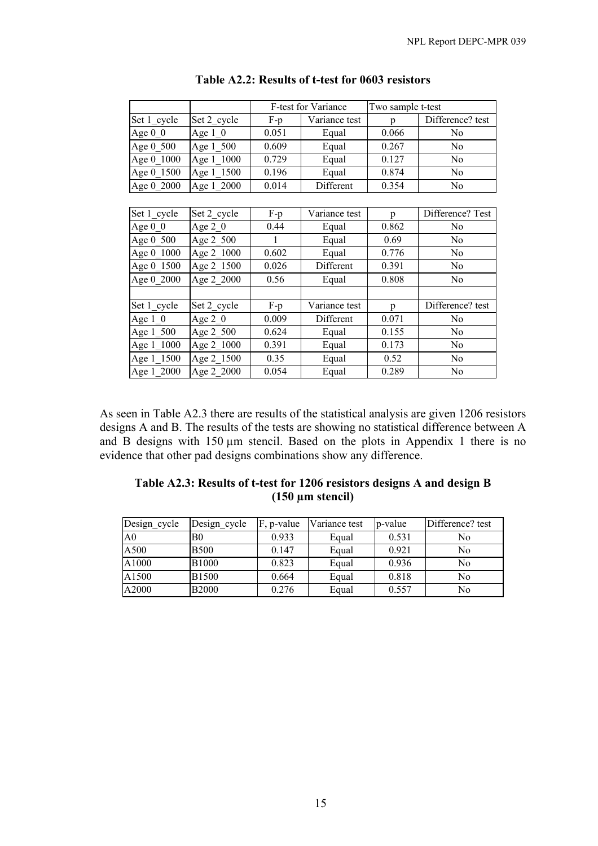|             |                         | F-test for Variance |               | Two sample t-test |                  |  |
|-------------|-------------------------|---------------------|---------------|-------------------|------------------|--|
| Set 1 cycle | Set 2 cycle             | $F-p$               | Variance test | p                 | Difference? test |  |
| Age $0\ 0$  | Age $1 \ 0$             | 0.051               | Equal         | 0.066             | No               |  |
| Age 0 500   | Age 1 500               | 0.609               | Equal         | 0.267             | No               |  |
| Age 0 1000  | Age 1 1000              | 0.729               | Equal         | 0.127             | No               |  |
| Age 0 1500  | Age 1_1500              | 0.196               | Equal         | 0.874             | No               |  |
| Age 0 2000  | Age 1 2000              | 0.014               | Different     | 0.354             | No               |  |
|             |                         |                     |               |                   |                  |  |
| Set 1_cycle | Set 2_cycle             | $F-p$               | Variance test | p                 | Difference? Test |  |
| Age $0\ 0$  | Age $2\ 0$              | 0.44                | Equal         | 0.862             | No               |  |
| Age 0 500   | Age 2_500               | 1                   | Equal         | 0.69              | No               |  |
| Age 0 1000  | Age 2 1000              | 0.602               | Equal         | 0.776             | No               |  |
| Age 0 1500  | Age 2_1500              | 0.026               | Different     | 0.391             | N <sub>0</sub>   |  |
| Age 0 2000  | Age 2 2000              | 0.56                | Equal         | 0.808             | N <sub>0</sub>   |  |
|             |                         |                     |               |                   |                  |  |
| Set 1_cycle | Set 2_cycle             | $F-p$               | Variance test | p                 | Difference? test |  |
| Age $1 \ 0$ | Age $2\ 0$              | 0.009               | Different     | 0.071             | No               |  |
| Age 1_500   | Age 2 500               | 0.624               | Equal         | 0.155             | N <sub>0</sub>   |  |
| Age 1 1000  | $\overline{Age}$ 2_1000 | 0.391               | Equal         | 0.173             | No               |  |
| Age 1 1500  | Age 2_1500              | 0.35                | Equal         | 0.52              | No               |  |
| Age 1 2000  | Age 2 2000              | 0.054               | Equal         | 0.289             | No               |  |

### **Table A2.2: Results of t-test for 0603 resistors**

As seen in Table A2.3 there are results of the statistical analysis are given 1206 resistors designs A and B. The results of the tests are showing no statistical difference between A and B designs with 150 µm stencil. Based on the plots in Appendix 1 there is no evidence that other pad designs combinations show any difference.

| Table A2.3: Results of t-test for 1206 resistors designs A and design B |
|-------------------------------------------------------------------------|
| $(150 \mu m$ stencil)                                                   |

| Design cycle   | Design cycle | F, p-value | Variance test | p-value | Difference? test |
|----------------|--------------|------------|---------------|---------|------------------|
| A <sub>0</sub> | B0           | 0.933      | Equal         | 0.531   | No               |
| A500           | <b>B500</b>  | 0.147      | Equal         | 0.921   | N <sub>0</sub>   |
| A1000          | <b>B1000</b> | 0.823      | Equal         | 0.936   | No               |
| A1500          | <b>B1500</b> | 0.664      | Equal         | 0.818   | N <sub>0</sub>   |
| A2000          | <b>B2000</b> | 0.276      | Equal         | 0.557   | No               |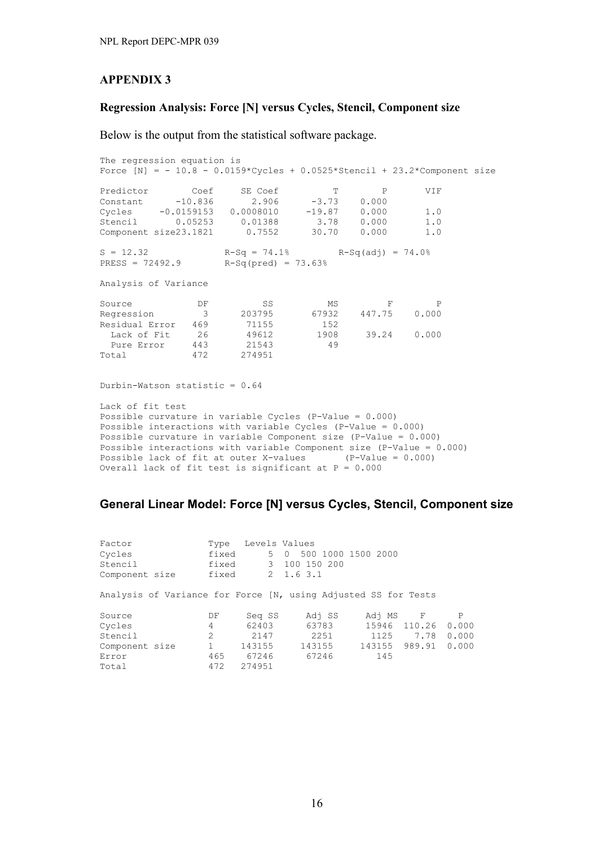#### **Regression Analysis: Force [N] versus Cycles, Stencil, Component size**

Below is the output from the statistical software package.

The regression equation is Force  $[N] = - 10.8 - 0.0159*Cycles + 0.0525*Stencil + 23.2*Component size$ Predictor Coef SE Coef T P VIF Constant -10.836 2.906 -3.73 0.000 Cycles -0.0159153 0.0008010 -19.87 0.000 1.0 Stencil 0.05253 0.01388 3.78 0.000 1.0 Component size23.1821 0.7552 30.70 0.000 1.0  $S = 12.32$   $R-Sq = 74.1%$   $R-Sq(adj) = 74.0%$ PRESS = 72492.9 R-Sq(pred) = 73.63% Analysis of Variance Source DF SS MS F P Regression 3 203795 67932 447.75 0.000 Residual Error 469 71155 152 Lack of Fit 26 49612 1908 39.24 0.000 Pure Error 443 21543 49 Total 472 274951 Durbin-Watson statistic = 0.64 Lack of fit test Possible curvature in variable Cycles (P-Value = 0.000) Possible interactions with variable Cycles (P-Value = 0.000) Possible curvature in variable Component size (P-Value = 0.000) Possible interactions with variable Component size (P-Value = 0.000) Possible lack of fit at outer X-values (P-Value =  $0.000$ ) Overall lack of fit test is significant at  $P = 0.000$ 

#### **General Linear Model: Force [N] versus Cycles, Stencil, Component size**

| Factor<br>Cycles<br>Stencil<br>Component size                  | Type<br>fixed<br>fixed<br>fixed |        | 5 0 | Levels Values<br>3 100 150 200<br>2 1.6 3.1 | 500 1000 1500 2000 |        |              |
|----------------------------------------------------------------|---------------------------------|--------|-----|---------------------------------------------|--------------------|--------|--------------|
| Analysis of Variance for Force [N, using Adjusted SS for Tests |                                 |        |     |                                             |                    |        |              |
| Source                                                         | DF                              | Seq SS |     | Adj SS                                      | Adj MS F           |        | $\mathbf{P}$ |
| Cycles                                                         | 4                               | 62403  |     | 63783                                       | 15946 110.26       |        | 0.000        |
| Stencil                                                        | $\mathfrak{D}$                  | 2147   |     | 2251                                        | 1125               | 7.78   | 0.000        |
| Component size                                                 |                                 | 143155 |     | 143155                                      | 143155             | 989.91 | 0.000        |
| Error                                                          | 465                             | 67246  |     | 67246                                       | 145                |        |              |
| Total                                                          | 472                             | 274951 |     |                                             |                    |        |              |